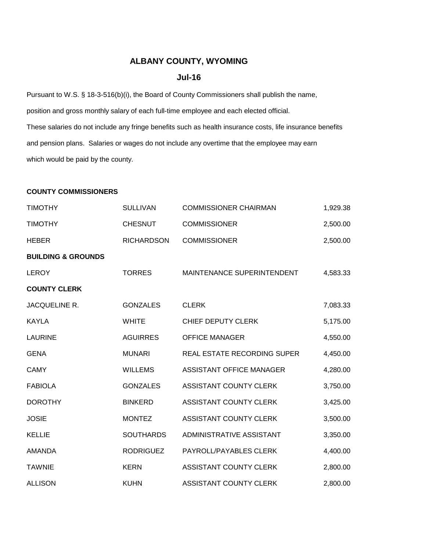## **ALBANY COUNTY, WYOMING**

## **Jul-16**

Pursuant to W.S. § 18-3-516(b)(i), the Board of County Commissioners shall publish the name, position and gross monthly salary of each full-time employee and each elected official. These salaries do not include any fringe benefits such as health insurance costs, life insurance benefits and pension plans. Salaries or wages do not include any overtime that the employee may earn which would be paid by the county.

## **COUNTY COMMISSIONERS**

| <b>TIMOTHY</b>                | <b>SULLIVAN</b>   | <b>COMMISSIONER CHAIRMAN</b>    | 1,929.38 |
|-------------------------------|-------------------|---------------------------------|----------|
| <b>TIMOTHY</b>                | <b>CHESNUT</b>    | <b>COMMISSIONER</b>             | 2,500.00 |
| <b>HEBER</b>                  | <b>RICHARDSON</b> | <b>COMMISSIONER</b>             | 2,500.00 |
| <b>BUILDING &amp; GROUNDS</b> |                   |                                 |          |
| <b>LEROY</b>                  | <b>TORRES</b>     | MAINTENANCE SUPERINTENDENT      | 4,583.33 |
| <b>COUNTY CLERK</b>           |                   |                                 |          |
| JACQUELINE R.                 | <b>GONZALES</b>   | <b>CLERK</b>                    | 7,083.33 |
| <b>KAYLA</b>                  | <b>WHITE</b>      | CHIEF DEPUTY CLERK              | 5,175.00 |
| <b>LAURINE</b>                | <b>AGUIRRES</b>   | <b>OFFICE MANAGER</b>           | 4,550.00 |
| <b>GENA</b>                   | <b>MUNARI</b>     | REAL ESTATE RECORDING SUPER     | 4,450.00 |
| <b>CAMY</b>                   | <b>WILLEMS</b>    | <b>ASSISTANT OFFICE MANAGER</b> | 4,280.00 |
| <b>FABIOLA</b>                | <b>GONZALES</b>   | ASSISTANT COUNTY CLERK          | 3,750.00 |
| <b>DOROTHY</b>                | <b>BINKERD</b>    | ASSISTANT COUNTY CLERK          | 3,425.00 |
| <b>JOSIE</b>                  | <b>MONTEZ</b>     | ASSISTANT COUNTY CLERK          | 3,500.00 |
| <b>KELLIE</b>                 | <b>SOUTHARDS</b>  | ADMINISTRATIVE ASSISTANT        | 3,350.00 |
| <b>AMANDA</b>                 | <b>RODRIGUEZ</b>  | PAYROLL/PAYABLES CLERK          | 4,400.00 |
| <b>TAWNIE</b>                 | <b>KERN</b>       | <b>ASSISTANT COUNTY CLERK</b>   | 2,800.00 |
| <b>ALLISON</b>                | <b>KUHN</b>       | <b>ASSISTANT COUNTY CLERK</b>   | 2,800.00 |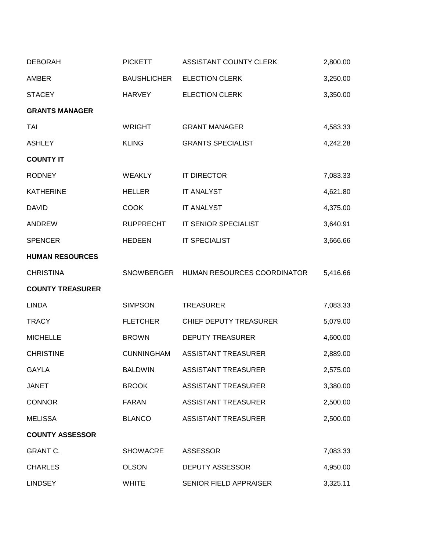| <b>DEBORAH</b>          | <b>PICKETT</b>     | ASSISTANT COUNTY CLERK                 | 2,800.00 |
|-------------------------|--------------------|----------------------------------------|----------|
| <b>AMBER</b>            | <b>BAUSHLICHER</b> | <b>ELECTION CLERK</b>                  | 3,250.00 |
| <b>STACEY</b>           | <b>HARVEY</b>      | <b>ELECTION CLERK</b>                  | 3,350.00 |
| <b>GRANTS MANAGER</b>   |                    |                                        |          |
| TAI                     | <b>WRIGHT</b>      | <b>GRANT MANAGER</b>                   | 4,583.33 |
| <b>ASHLEY</b>           | <b>KLING</b>       | <b>GRANTS SPECIALIST</b>               | 4,242.28 |
| <b>COUNTY IT</b>        |                    |                                        |          |
| <b>RODNEY</b>           | <b>WEAKLY</b>      | <b>IT DIRECTOR</b>                     | 7,083.33 |
| <b>KATHERINE</b>        | <b>HELLER</b>      | <b>IT ANALYST</b>                      | 4,621.80 |
| <b>DAVID</b>            | <b>COOK</b>        | <b>IT ANALYST</b>                      | 4,375.00 |
| <b>ANDREW</b>           | <b>RUPPRECHT</b>   | IT SENIOR SPECIALIST                   | 3,640.91 |
| <b>SPENCER</b>          | <b>HEDEEN</b>      | <b>IT SPECIALIST</b>                   | 3,666.66 |
| <b>HUMAN RESOURCES</b>  |                    |                                        |          |
| <b>CHRISTINA</b>        |                    | SNOWBERGER HUMAN RESOURCES COORDINATOR | 5,416.66 |
| <b>COUNTY TREASURER</b> |                    |                                        |          |
| <b>LINDA</b>            | <b>SIMPSON</b>     | <b>TREASURER</b>                       | 7,083.33 |
| <b>TRACY</b>            | <b>FLETCHER</b>    | CHIEF DEPUTY TREASURER                 | 5,079.00 |
| <b>MICHELLE</b>         | <b>BROWN</b>       | <b>DEPUTY TREASURER</b>                | 4,600.00 |
| <b>CHRISTINE</b>        | <b>CUNNINGHAM</b>  | <b>ASSISTANT TREASURER</b>             | 2,889.00 |
| <b>GAYLA</b>            | <b>BALDWIN</b>     | <b>ASSISTANT TREASURER</b>             | 2,575.00 |
| <b>JANET</b>            | <b>BROOK</b>       | <b>ASSISTANT TREASURER</b>             | 3,380.00 |
| <b>CONNOR</b>           | <b>FARAN</b>       | <b>ASSISTANT TREASURER</b>             | 2,500.00 |
| <b>MELISSA</b>          | <b>BLANCO</b>      | <b>ASSISTANT TREASURER</b>             | 2,500.00 |
| <b>COUNTY ASSESSOR</b>  |                    |                                        |          |
| <b>GRANT C.</b>         | <b>SHOWACRE</b>    | <b>ASSESSOR</b>                        | 7,083.33 |
| <b>CHARLES</b>          | <b>OLSON</b>       | <b>DEPUTY ASSESSOR</b>                 | 4,950.00 |
| <b>LINDSEY</b>          | <b>WHITE</b>       | SENIOR FIELD APPRAISER                 | 3,325.11 |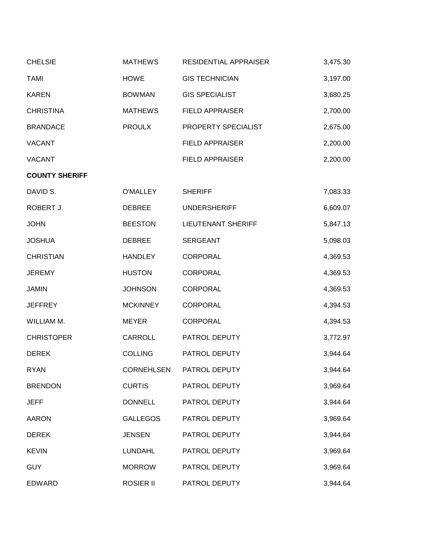| <b>CHELSIE</b>        | <b>MATHEWS</b>   | RESIDENTIAL APPRAISER     | 3,475.30 |
|-----------------------|------------------|---------------------------|----------|
| <b>TAMI</b>           | <b>HOWE</b>      | <b>GIS TECHNICIAN</b>     | 3,197.00 |
| <b>KAREN</b>          | <b>BOWMAN</b>    | <b>GIS SPECIALIST</b>     | 3,680.25 |
| <b>CHRISTINA</b>      | <b>MATHEWS</b>   | <b>FIELD APPRAISER</b>    | 2,700.00 |
| <b>BRANDACE</b>       | <b>PROULX</b>    | PROPERTY SPECIALIST       | 2,675.00 |
| <b>VACANT</b>         |                  | <b>FIELD APPRAISER</b>    | 2,200.00 |
| <b>VACANT</b>         |                  | <b>FIELD APPRAISER</b>    | 2,200.00 |
| <b>COUNTY SHERIFF</b> |                  |                           |          |
| DAVID S.              | <b>O'MALLEY</b>  | <b>SHERIFF</b>            | 7,083.33 |
| ROBERT J.             | <b>DEBREE</b>    | <b>UNDERSHERIFF</b>       | 6,609.07 |
| <b>JOHN</b>           | <b>BEESTON</b>   | <b>LIEUTENANT SHERIFF</b> | 5,847.13 |
| <b>JOSHUA</b>         | <b>DEBREE</b>    | <b>SERGEANT</b>           | 5,098.03 |
| <b>CHRISTIAN</b>      | <b>HANDLEY</b>   | <b>CORPORAL</b>           | 4,369.53 |
| <b>JEREMY</b>         | <b>HUSTON</b>    | <b>CORPORAL</b>           | 4,369.53 |
| <b>JAMIN</b>          | <b>JOHNSON</b>   | <b>CORPORAL</b>           | 4,369.53 |
| <b>JEFFREY</b>        | <b>MCKINNEY</b>  | <b>CORPORAL</b>           | 4,394.53 |
| WILLIAM M.            | <b>MEYER</b>     | CORPORAL                  | 4,394.53 |
| <b>CHRISTOPER</b>     | CARROLL          | PATROL DEPUTY             | 3,772.97 |
| <b>DEREK</b>          | <b>COLLING</b>   | PATROL DEPUTY             | 3,944.64 |
| <b>RYAN</b>           | CORNEHLSEN       | PATROL DEPUTY             | 3,944.64 |
| <b>BRENDON</b>        | <b>CURTIS</b>    | PATROL DEPUTY             | 3,969.64 |
| JEFF                  | <b>DONNELL</b>   | PATROL DEPUTY             | 3,944.64 |
| <b>AARON</b>          | <b>GALLEGOS</b>  | PATROL DEPUTY             | 3,969.64 |
| <b>DEREK</b>          | <b>JENSEN</b>    | PATROL DEPUTY             | 3,944.64 |
| <b>KEVIN</b>          | <b>LUNDAHL</b>   | PATROL DEPUTY             | 3,969.64 |
| <b>GUY</b>            | <b>MORROW</b>    | PATROL DEPUTY             | 3,969.64 |
| <b>EDWARD</b>         | <b>ROSIER II</b> | PATROL DEPUTY             | 3,944.64 |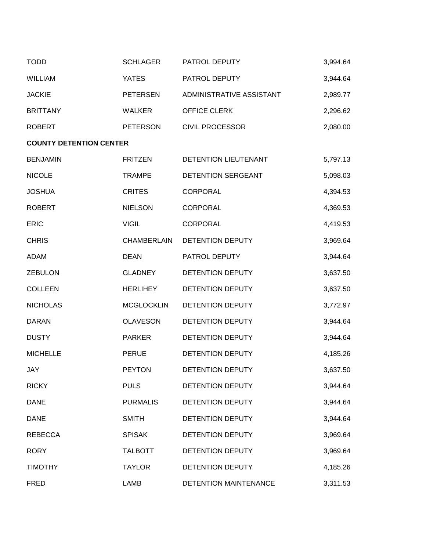| <b>TODD</b>                    | <b>SCHLAGER</b>    | PATROL DEPUTY            | 3,994.64 |
|--------------------------------|--------------------|--------------------------|----------|
| <b>WILLIAM</b>                 | <b>YATES</b>       | PATROL DEPUTY            | 3,944.64 |
| <b>JACKIE</b>                  | <b>PETERSEN</b>    | ADMINISTRATIVE ASSISTANT | 2,989.77 |
| <b>BRITTANY</b>                | <b>WALKER</b>      | OFFICE CLERK             | 2,296.62 |
| <b>ROBERT</b>                  | <b>PETERSON</b>    | <b>CIVIL PROCESSOR</b>   | 2,080.00 |
| <b>COUNTY DETENTION CENTER</b> |                    |                          |          |
| <b>BENJAMIN</b>                | <b>FRITZEN</b>     | DETENTION LIEUTENANT     | 5,797.13 |
| <b>NICOLE</b>                  | <b>TRAMPE</b>      | DETENTION SERGEANT       | 5,098.03 |
| <b>JOSHUA</b>                  | <b>CRITES</b>      | <b>CORPORAL</b>          | 4,394.53 |
| <b>ROBERT</b>                  | <b>NIELSON</b>     | <b>CORPORAL</b>          | 4,369.53 |
| <b>ERIC</b>                    | <b>VIGIL</b>       | <b>CORPORAL</b>          | 4,419.53 |
| <b>CHRIS</b>                   | <b>CHAMBERLAIN</b> | DETENTION DEPUTY         | 3,969.64 |
| <b>ADAM</b>                    | <b>DEAN</b>        | PATROL DEPUTY            | 3,944.64 |
| <b>ZEBULON</b>                 | <b>GLADNEY</b>     | DETENTION DEPUTY         | 3,637.50 |
| <b>COLLEEN</b>                 | <b>HERLIHEY</b>    | DETENTION DEPUTY         | 3,637.50 |
| <b>NICHOLAS</b>                | <b>MCGLOCKLIN</b>  | DETENTION DEPUTY         | 3,772.97 |
| <b>DARAN</b>                   | <b>OLAVESON</b>    | DETENTION DEPUTY         | 3,944.64 |
| <b>DUSTY</b>                   | <b>PARKER</b>      | DETENTION DEPUTY         | 3,944.64 |
| <b>MICHELLE</b>                | <b>PERUE</b>       | DETENTION DEPUTY         | 4,185.26 |
| JAY                            | <b>PEYTON</b>      | DETENTION DEPUTY         | 3,637.50 |
| <b>RICKY</b>                   | <b>PULS</b>        | DETENTION DEPUTY         | 3,944.64 |
| <b>DANE</b>                    | <b>PURMALIS</b>    | DETENTION DEPUTY         | 3,944.64 |
| <b>DANE</b>                    | <b>SMITH</b>       | DETENTION DEPUTY         | 3,944.64 |
| <b>REBECCA</b>                 | <b>SPISAK</b>      | DETENTION DEPUTY         | 3,969.64 |
| <b>RORY</b>                    | <b>TALBOTT</b>     | <b>DETENTION DEPUTY</b>  | 3,969.64 |
| <b>TIMOTHY</b>                 | <b>TAYLOR</b>      | DETENTION DEPUTY         | 4,185.26 |
| <b>FRED</b>                    | LAMB               | DETENTION MAINTENANCE    | 3,311.53 |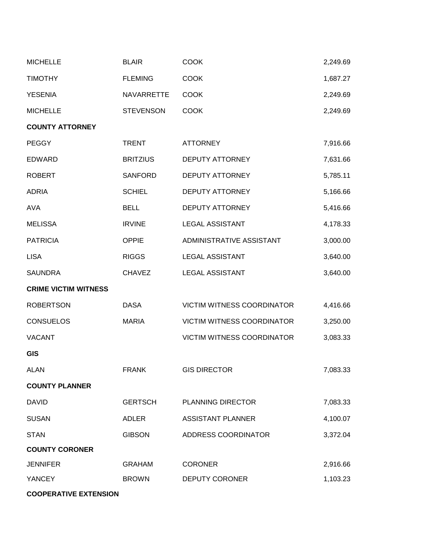| <b>MICHELLE</b>             | <b>BLAIR</b>     | <b>COOK</b>                       | 2,249.69 |
|-----------------------------|------------------|-----------------------------------|----------|
| <b>TIMOTHY</b>              | <b>FLEMING</b>   | <b>COOK</b>                       | 1,687.27 |
| <b>YESENIA</b>              | NAVARRETTE       | <b>COOK</b>                       | 2,249.69 |
| <b>MICHELLE</b>             | <b>STEVENSON</b> | <b>COOK</b>                       | 2,249.69 |
| <b>COUNTY ATTORNEY</b>      |                  |                                   |          |
| <b>PEGGY</b>                | <b>TRENT</b>     | <b>ATTORNEY</b>                   | 7,916.66 |
| <b>EDWARD</b>               | <b>BRITZIUS</b>  | DEPUTY ATTORNEY                   | 7,631.66 |
| <b>ROBERT</b>               | <b>SANFORD</b>   | <b>DEPUTY ATTORNEY</b>            | 5,785.11 |
| <b>ADRIA</b>                | <b>SCHIEL</b>    | <b>DEPUTY ATTORNEY</b>            | 5,166.66 |
| <b>AVA</b>                  | <b>BELL</b>      | <b>DEPUTY ATTORNEY</b>            | 5,416.66 |
| <b>MELISSA</b>              | <b>IRVINE</b>    | <b>LEGAL ASSISTANT</b>            | 4,178.33 |
| <b>PATRICIA</b>             | <b>OPPIE</b>     | ADMINISTRATIVE ASSISTANT          | 3,000.00 |
| <b>LISA</b>                 | <b>RIGGS</b>     | <b>LEGAL ASSISTANT</b>            | 3,640.00 |
| <b>SAUNDRA</b>              | <b>CHAVEZ</b>    | <b>LEGAL ASSISTANT</b>            | 3,640.00 |
| <b>CRIME VICTIM WITNESS</b> |                  |                                   |          |
| <b>ROBERTSON</b>            | <b>DASA</b>      | VICTIM WITNESS COORDINATOR        | 4,416.66 |
| <b>CONSUELOS</b>            | <b>MARIA</b>     | <b>VICTIM WITNESS COORDINATOR</b> | 3,250.00 |
| <b>VACANT</b>               |                  | <b>VICTIM WITNESS COORDINATOR</b> | 3,083.33 |
| <b>GIS</b>                  |                  |                                   |          |
| <b>ALAN</b>                 | <b>FRANK</b>     | <b>GIS DIRECTOR</b>               | 7,083.33 |
| <b>COUNTY PLANNER</b>       |                  |                                   |          |
| <b>DAVID</b>                | <b>GERTSCH</b>   | <b>PLANNING DIRECTOR</b>          | 7,083.33 |
| <b>SUSAN</b>                | <b>ADLER</b>     | <b>ASSISTANT PLANNER</b>          | 4,100.07 |
| <b>STAN</b>                 | <b>GIBSON</b>    | ADDRESS COORDINATOR               | 3,372.04 |
| <b>COUNTY CORONER</b>       |                  |                                   |          |
| <b>JENNIFER</b>             | <b>GRAHAM</b>    | <b>CORONER</b>                    | 2,916.66 |
| <b>YANCEY</b>               | <b>BROWN</b>     | <b>DEPUTY CORONER</b>             | 1,103.23 |
|                             |                  |                                   |          |

**COOPERATIVE EXTENSION**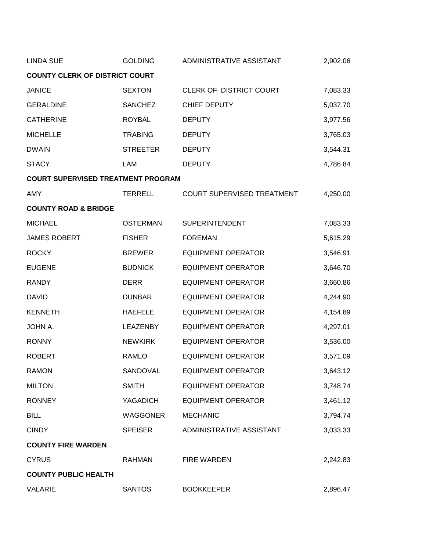| <b>LINDA SUE</b>                          | <b>GOLDING</b>  | ADMINISTRATIVE ASSISTANT   | 2,902.06 |
|-------------------------------------------|-----------------|----------------------------|----------|
| <b>COUNTY CLERK OF DISTRICT COURT</b>     |                 |                            |          |
| <b>JANICE</b>                             | <b>SEXTON</b>   | CLERK OF DISTRICT COURT    | 7,083.33 |
| <b>GERALDINE</b>                          | <b>SANCHEZ</b>  | <b>CHIEF DEPUTY</b>        | 5,037.70 |
| <b>CATHERINE</b>                          | <b>ROYBAL</b>   | <b>DEPUTY</b>              | 3,977.56 |
| <b>MICHELLE</b>                           | <b>TRABING</b>  | <b>DEPUTY</b>              | 3,765.03 |
| <b>DWAIN</b>                              | <b>STREETER</b> | <b>DEPUTY</b>              | 3,544.31 |
| <b>STACY</b>                              | LAM             | <b>DEPUTY</b>              | 4,786.84 |
| <b>COURT SUPERVISED TREATMENT PROGRAM</b> |                 |                            |          |
| AMY                                       | <b>TERRELL</b>  | COURT SUPERVISED TREATMENT | 4,250.00 |
| <b>COUNTY ROAD &amp; BRIDGE</b>           |                 |                            |          |
| <b>MICHAEL</b>                            | <b>OSTERMAN</b> | <b>SUPERINTENDENT</b>      | 7,083.33 |
| <b>JAMES ROBERT</b>                       | <b>FISHER</b>   | <b>FOREMAN</b>             | 5,615.29 |
| <b>ROCKY</b>                              | <b>BREWER</b>   | <b>EQUIPMENT OPERATOR</b>  | 3,546.91 |
| <b>EUGENE</b>                             | <b>BUDNICK</b>  | <b>EQUIPMENT OPERATOR</b>  | 3,646.70 |
| <b>RANDY</b>                              | <b>DERR</b>     | <b>EQUIPMENT OPERATOR</b>  | 3,660.86 |
| <b>DAVID</b>                              | <b>DUNBAR</b>   | <b>EQUIPMENT OPERATOR</b>  | 4,244.90 |
| <b>KENNETH</b>                            | <b>HAEFELE</b>  | <b>EQUIPMENT OPERATOR</b>  | 4,154.89 |
| JOHN A.                                   | <b>LEAZENBY</b> | <b>EQUIPMENT OPERATOR</b>  | 4,297.01 |
| <b>RONNY</b>                              | <b>NEWKIRK</b>  | <b>EQUIPMENT OPERATOR</b>  | 3,536.00 |
| <b>ROBERT</b>                             | <b>RAMLO</b>    | <b>EQUIPMENT OPERATOR</b>  | 3,571.09 |
| <b>RAMON</b>                              | SANDOVAL        | <b>EQUIPMENT OPERATOR</b>  | 3,643.12 |
| <b>MILTON</b>                             | <b>SMITH</b>    | <b>EQUIPMENT OPERATOR</b>  | 3,748.74 |
| <b>RONNEY</b>                             | <b>YAGADICH</b> | <b>EQUIPMENT OPERATOR</b>  | 3,461.12 |
| <b>BILL</b>                               | <b>WAGGONER</b> | <b>MECHANIC</b>            | 3,794.74 |
| <b>CINDY</b>                              | <b>SPEISER</b>  | ADMINISTRATIVE ASSISTANT   | 3,033.33 |
| <b>COUNTY FIRE WARDEN</b>                 |                 |                            |          |
| <b>CYRUS</b>                              | <b>RAHMAN</b>   | <b>FIRE WARDEN</b>         | 2,242.83 |
| <b>COUNTY PUBLIC HEALTH</b>               |                 |                            |          |
| <b>VALARIE</b>                            | <b>SANTOS</b>   | <b>BOOKKEEPER</b>          | 2,896.47 |